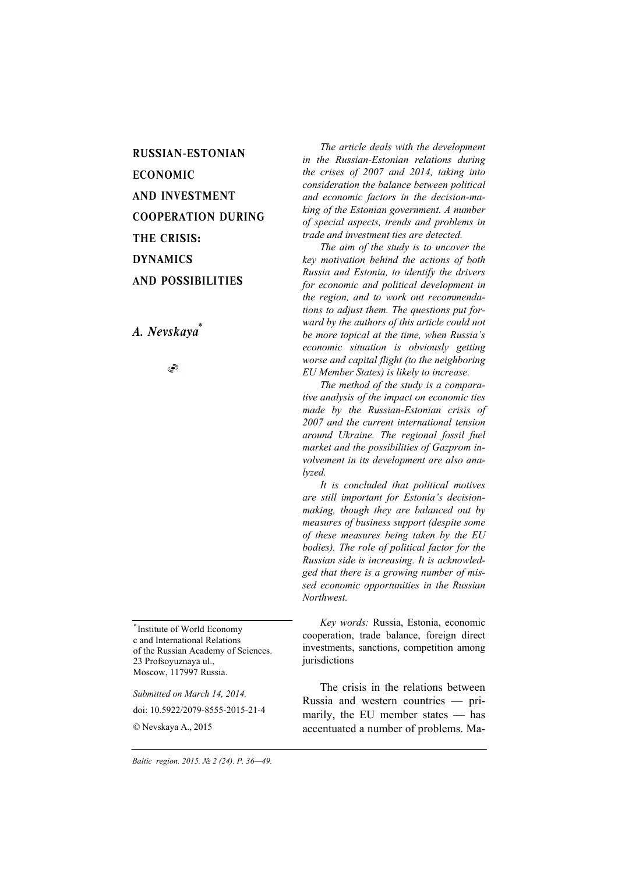RUSSIAN-ESTONIAN ECONOMIC AND INVESTMENT COOPERATION DURING THE CRISIS: DYNAMICS AND POSSIBILITIES

*A. Nevskaya\**

S

*\** Institute of World Economy c and International Relations of the Russian Academy of Sciences. 23 Profsoyuznaya ul., Moscow, 117997 Russia.

*Submitted on March 14, 2014.* 

doi: 10.5922/2079-8555-2015-21-4

© Nevskaya A., 2015

*The article deals with the development in the Russian-Estonian relations during the crises of 2007 and 2014, taking into consideration the balance between political and economic factors in the decision-making of the Estonian government. A number of special aspects, trends and problems in trade and investment ties are detected.* 

*The aim of the study is to uncover the key motivation behind the actions of both Russia and Estonia, to identify the drivers for economic and political development in the region, and to work out recommendations to adjust them. The questions put forward by the authors of this article could not be more topical at the time, when Russia's economic situation is obviously getting worse and capital flight (to the neighboring EU Member States) is likely to increase.* 

*The method of the study is a comparative analysis of the impact on economic ties made by the Russian-Estonian crisis of 2007 and the current international tension around Ukraine. The regional fossil fuel market and the possibilities of Gazprom involvement in its development are also analyzed.* 

*It is concluded that political motives are still important for Estonia's decisionmaking, though they are balanced out by measures of business support (despite some of these measures being taken by the EU bodies). The role of political factor for the Russian side is increasing. It is acknowledged that there is a growing number of missed economic opportunities in the Russian Northwest.* 

*Key words:* Russia, Estonia, economic cooperation, trade balance, foreign direct investments, sanctions, competition among jurisdictions

The crisis in the relations between Russia and western countries — primarily, the EU member states — has accentuated a number of problems. Ma-

*36 Baltic region. 2015. № 2 (24). P. 36—49.*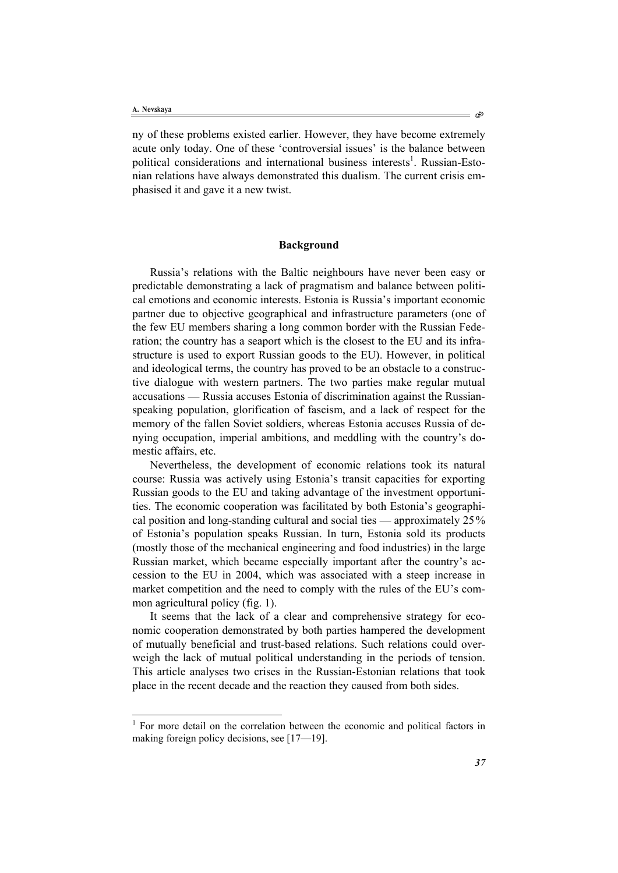l

ny of these problems existed earlier. However, they have become extremely acute only today. One of these 'controversial issues' is the balance between political considerations and international business interests<sup>1</sup>. Russian-Estonian relations have always demonstrated this dualism. The current crisis emphasised it and gave it a new twist.

# **Background**

Russia's relations with the Baltic neighbours have never been easy or predictable demonstrating a lack of pragmatism and balance between political emotions and economic interests. Estonia is Russia's important economic partner due to objective geographical and infrastructure parameters (one of the few EU members sharing a long common border with the Russian Federation; the country has a seaport which is the closest to the EU and its infrastructure is used to export Russian goods to the EU). However, in political and ideological terms, the country has proved to be an obstacle to a constructive dialogue with western partners. The two parties make regular mutual accusations — Russia accuses Estonia of discrimination against the Russianspeaking population, glorification of fascism, and a lack of respect for the memory of the fallen Soviet soldiers, whereas Estonia accuses Russia of denying occupation, imperial ambitions, and meddling with the country's domestic affairs, etc.

Nevertheless, the development of economic relations took its natural course: Russia was actively using Estonia's transit capacities for exporting Russian goods to the EU and taking advantage of the investment opportunities. The economic cooperation was facilitated by both Estonia's geographical position and long-standing cultural and social ties — approximately 25% of Estonia's population speaks Russian. In turn, Estonia sold its products (mostly those of the mechanical engineering and food industries) in the large Russian market, which became especially important after the country's accession to the EU in 2004, which was associated with a steep increase in market competition and the need to comply with the rules of the EU's common agricultural policy (fig. 1).

It seems that the lack of a clear and comprehensive strategy for economic cooperation demonstrated by both parties hampered the development of mutually beneficial and trust-based relations. Such relations could overweigh the lack of mutual political understanding in the periods of tension. This article analyses two crises in the Russian-Estonian relations that took place in the recent decade and the reaction they caused from both sides.

ో

<sup>&</sup>lt;sup>1</sup> For more detail on the correlation between the economic and political factors in making foreign policy decisions, see [17—19].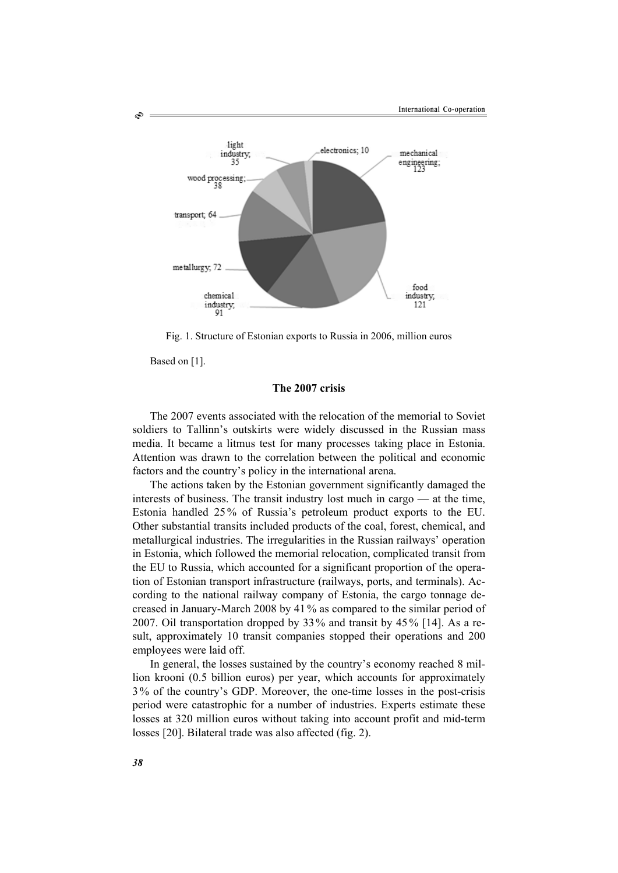

Fig. 1. Structure of Estonian exports to Russia in 2006, million euros

Based on [1].

Š

# **The 2007 crisis**

The 2007 events associated with the relocation of the memorial to Soviet soldiers to Tallinn's outskirts were widely discussed in the Russian mass media. It became a litmus test for many processes taking place in Estonia. Attention was drawn to the correlation between the political and economic factors and the country's policy in the international arena.

The actions taken by the Estonian government significantly damaged the interests of business. The transit industry lost much in cargo — at the time, Estonia handled 25 % of Russia's petroleum product exports to the EU. Other substantial transits included products of the coal, forest, chemical, and metallurgical industries. The irregularities in the Russian railways' operation in Estonia, which followed the memorial relocation, complicated transit from the EU to Russia, which accounted for a significant proportion of the operation of Estonian transport infrastructure (railways, ports, and terminals). According to the national railway company of Estonia, the cargo tonnage decreased in January-March 2008 by 41% as compared to the similar period of 2007. Oil transportation dropped by 33% and transit by 45 % [14]. As a result, approximately 10 transit companies stopped their operations and 200 employees were laid off.

In general, the losses sustained by the country's economy reached 8 million krooni (0.5 billion euros) per year, which accounts for approximately 3 % of the country's GDP. Moreover, the one-time losses in the post-crisis period were catastrophic for a number of industries. Experts estimate these losses at 320 million euros without taking into account profit and mid-term losses [20]. Bilateral trade was also affected (fig. 2).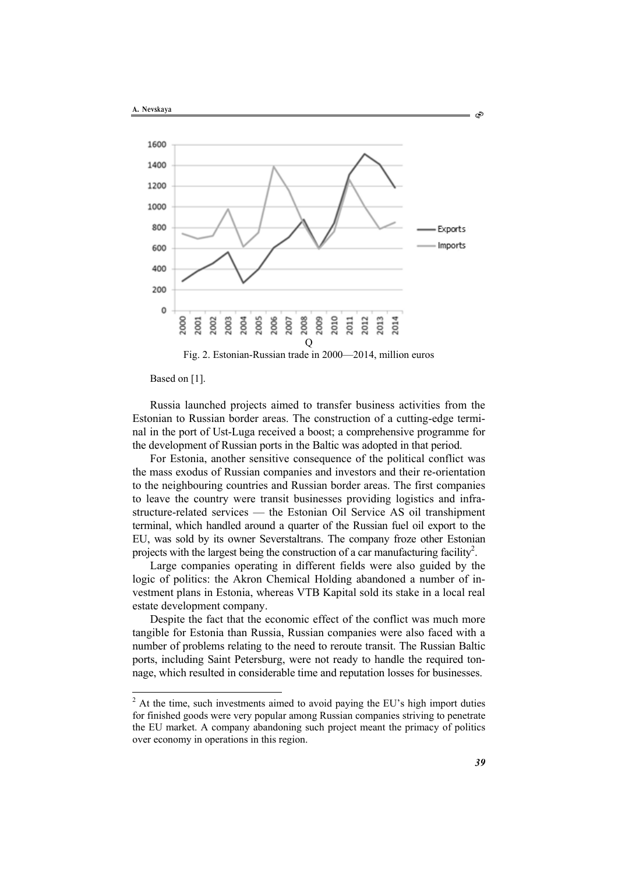



Based on [1].

Russia launched projects aimed to transfer business activities from the Estonian to Russian border areas. The construction of a cutting-edge terminal in the port of Ust-Luga received a boost; a comprehensive programme for the development of Russian ports in the Baltic was adopted in that period.

For Estonia, another sensitive consequence of the political conflict was the mass exodus of Russian companies and investors and their re-orientation to the neighbouring countries and Russian border areas. The first companies to leave the country were transit businesses providing logistics and infrastructure-related services — the Estonian Oil Service AS oil transhipment terminal, which handled around a quarter of the Russian fuel oil export to the EU, was sold by its owner Severstaltrans. The company froze other Estonian projects with the largest being the construction of a car manufacturing facility<sup>2</sup>.

Large companies operating in different fields were also guided by the logic of politics: the Akron Chemical Holding abandoned a number of investment plans in Estonia, whereas VTB Kapital sold its stake in a local real estate development company.

Despite the fact that the economic effect of the conflict was much more tangible for Estonia than Russia, Russian companies were also faced with a number of problems relating to the need to reroute transit. The Russian Baltic ports, including Saint Petersburg, were not ready to handle the required tonnage, which resulted in considerable time and reputation losses for businesses.

ఉ

<sup>&</sup>lt;sup>2</sup> At the time, such investments aimed to avoid paying the EU's high import duties for finished goods were very popular among Russian companies striving to penetrate the EU market. A company abandoning such project meant the primacy of politics over economy in operations in this region.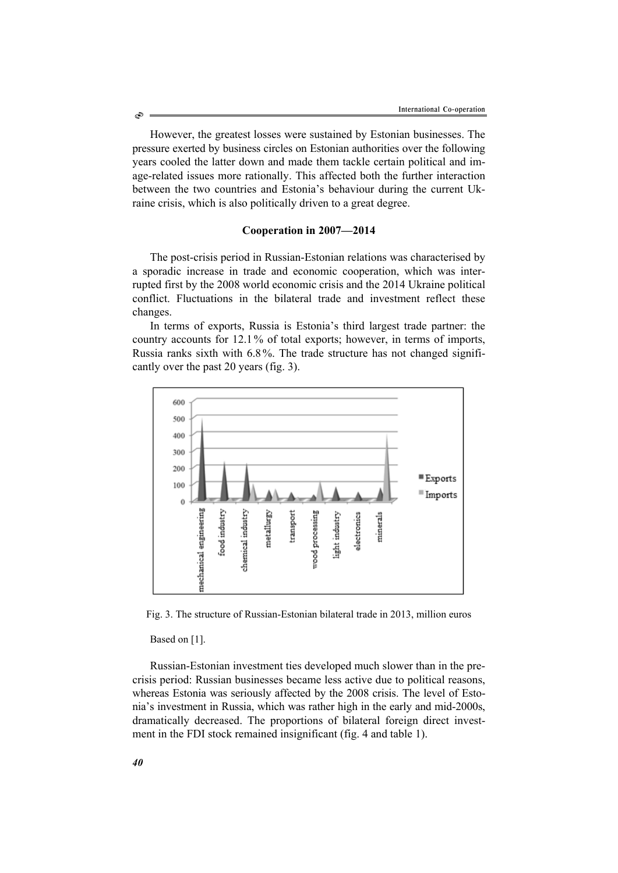However, the greatest losses were sustained by Estonian businesses. The pressure exerted by business circles on Estonian authorities over the following years cooled the latter down and made them tackle certain political and image-related issues more rationally. This affected both the further interaction between the two countries and Estonia's behaviour during the current Ukraine crisis, which is also politically driven to a great degree.

### **Cooperation in 2007—2014**

The post-crisis period in Russian-Estonian relations was characterised by a sporadic increase in trade and economic cooperation, which was interrupted first by the 2008 world economic crisis and the 2014 Ukraine political conflict. Fluctuations in the bilateral trade and investment reflect these changes.

In terms of exports, Russia is Estonia's third largest trade partner: the country accounts for 12.1% of total exports; however, in terms of imports, Russia ranks sixth with 6.8%. The trade structure has not changed significantly over the past 20 years (fig. 3).



Fig. 3. The structure of Russian-Estonian bilateral trade in 2013, million euros

Based on [1].

Russian-Estonian investment ties developed much slower than in the precrisis period: Russian businesses became less active due to political reasons, whereas Estonia was seriously affected by the 2008 crisis. The level of Estonia's investment in Russia, which was rather high in the early and mid-2000s, dramatically decreased. The proportions of bilateral foreign direct investment in the FDI stock remained insignificant (fig. 4 and table 1).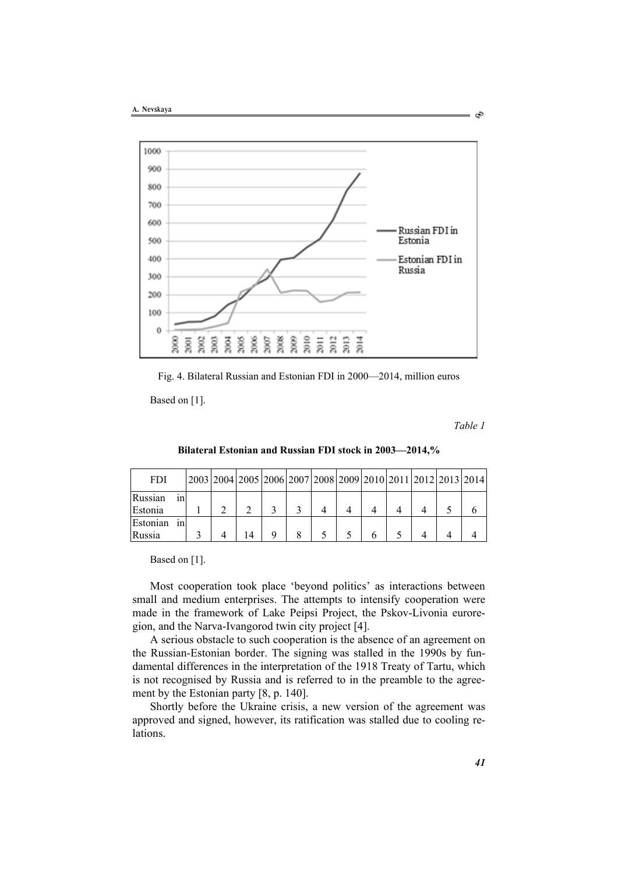

Fig. 4. Bilateral Russian and Estonian FDI in 2000—2014, million euros

Based on [1].

*Table 1* 

Ò

| <b>FDI</b> |     |  |  |  | 2003 2004 2005 2006 2007 2008 2009 2010 2011 2012 2013 2014 |  |  |  |
|------------|-----|--|--|--|-------------------------------------------------------------|--|--|--|
| Russian    | ını |  |  |  |                                                             |  |  |  |
| Estonia    |     |  |  |  |                                                             |  |  |  |
| Estonian   |     |  |  |  |                                                             |  |  |  |

Russia | 3 | 4 | 14 | 9 | 8 | 5 | 5 | 6 | 5 | 4 | 4 | 4

**Bilateral Estonian and Russian FDI stock in 2003—2014,%** 

Based on [1].

Most cooperation took place 'beyond politics' as interactions between small and medium enterprises. The attempts to intensify cooperation were made in the framework of Lake Peipsi Project, the Pskov-Livonia euroregion, and the Narva-Ivangorod twin city project [4].

A serious obstacle to such cooperation is the absence of an agreement on the Russian-Estonian border. The signing was stalled in the 1990s by fundamental differences in the interpretation of the 1918 Treaty of Tartu, which is not recognised by Russia and is referred to in the preamble to the agreement by the Estonian party [8, p. 140].

Shortly before the Ukraine crisis, a new version of the agreement was approved and signed, however, its ratification was stalled due to cooling re**lations**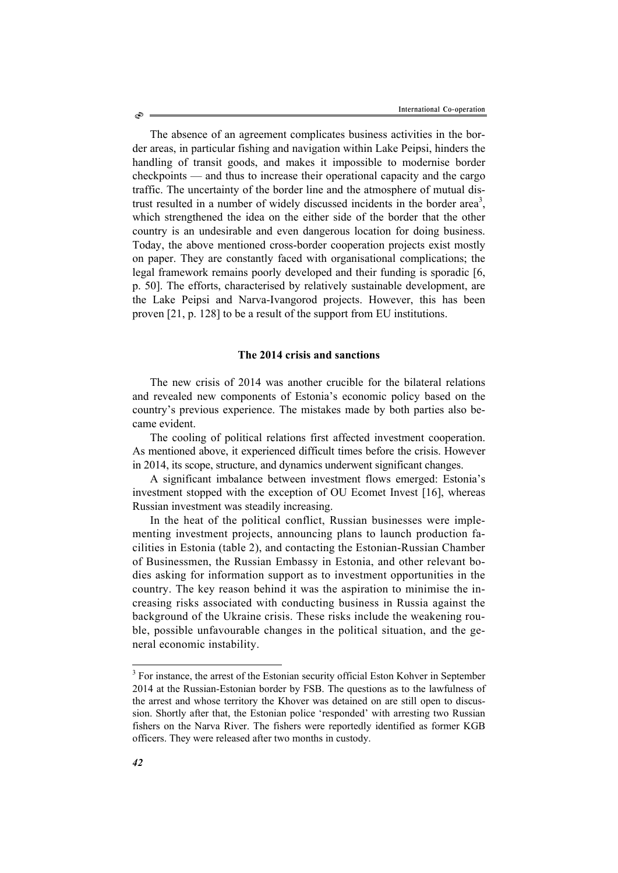The absence of an agreement complicates business activities in the border areas, in particular fishing and navigation within Lake Peipsi, hinders the handling of transit goods, and makes it impossible to modernise border checkpoints — and thus to increase their operational capacity and the cargo traffic. The uncertainty of the border line and the atmosphere of mutual distrust resulted in a number of widely discussed incidents in the border area<sup>3</sup>, which strengthened the idea on the either side of the border that the other country is an undesirable and even dangerous location for doing business. Today, the above mentioned cross-border cooperation projects exist mostly on paper. They are constantly faced with organisational complications; the legal framework remains poorly developed and their funding is sporadic [6, p. 50]. The efforts, characterised by relatively sustainable development, are the Lake Peipsi and Narva-Ivangorod projects. However, this has been proven [21, p. 128] to be a result of the support from EU institutions.

### **The 2014 crisis and sanctions**

The new crisis of 2014 was another crucible for the bilateral relations and revealed new components of Estonia's economic policy based on the country's previous experience. The mistakes made by both parties also became evident.

The cooling of political relations first affected investment cooperation. As mentioned above, it experienced difficult times before the crisis. However in 2014, its scope, structure, and dynamics underwent significant changes.

A significant imbalance between investment flows emerged: Estonia's investment stopped with the exception of OU Ecomet Invest [16], whereas Russian investment was steadily increasing.

In the heat of the political conflict, Russian businesses were implementing investment projects, announcing plans to launch production facilities in Estonia (table 2), and contacting the Estonian-Russian Chamber of Businessmen, the Russian Embassy in Estonia, and other relevant bodies asking for information support as to investment opportunities in the country. The key reason behind it was the aspiration to minimise the increasing risks associated with conducting business in Russia against the background of the Ukraine crisis. These risks include the weakening rouble, possible unfavourable changes in the political situation, and the general economic instability.

Ò

l

<sup>&</sup>lt;sup>3</sup> For instance, the arrest of the Estonian security official Eston Kohver in September 2014 at the Russian-Estonian border by FSB. The questions as to the lawfulness of the arrest and whose territory the Khover was detained on are still open to discussion. Shortly after that, the Estonian police 'responded' with arresting two Russian fishers on the Narva River. The fishers were reportedly identified as former KGB officers. They were released after two months in custody.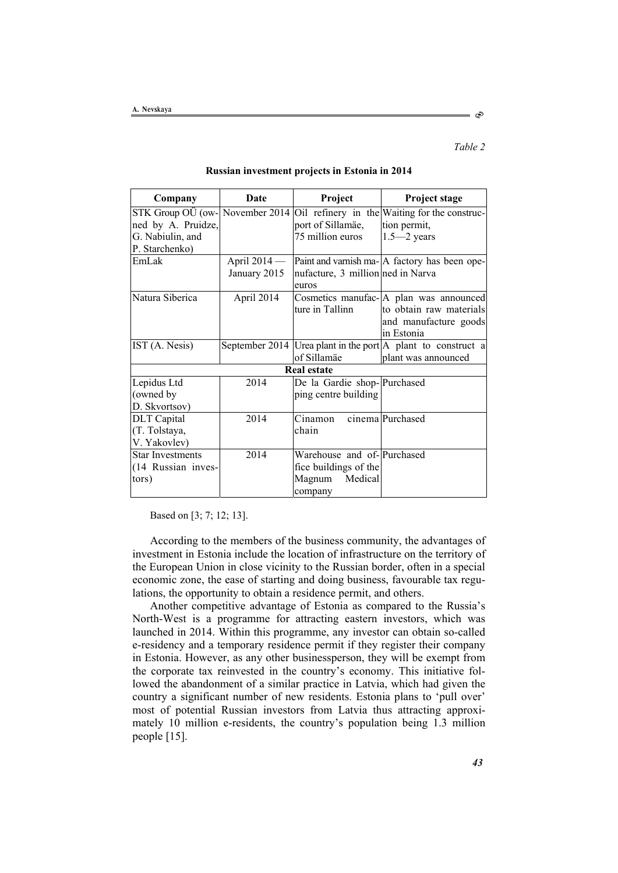Company Date **Project Project** Project stage STK Group OÜ (owned by A. Pruidze, G. Nabiulin, and P. Starchenko) November 2014 Oil refinery in the Waiting for the construcport of Sillamäe, 75 million euros tion permit, 1.5—2 years EmLak April 2014 — January 2015 Paint and varnish ma-A factory has been openufacture, 3 million ned in Narva euros Natura Siberica | April 2014 | Cosmetics manufac- | A plan was announced ture in Tallinn to obtain raw materials and manufacture goods in Estonia IST  $(A. Nesis)$  September 2014 Urea plant in the port  $|A|$  plant to construct a of Sillamäe plant was announced **Real estate**  Lepidus Ltd (owned by D. Skvortsov) 2014 De la Gardie shop-Purchased ping centre building DLT Capital (T. Tolstaya, V. Yakovlev)  $2014$  Cinamon chain cinema Purchased Star Investments (14 Russian investors) 2014 Warehouse and of-Purchased fice buildings of the Magnum Medical company

#### **Russian investment projects in Estonia in 2014**

Based on [3; 7; 12; 13].

According to the members of the business community, the advantages of investment in Estonia include the location of infrastructure on the territory of the European Union in close vicinity to the Russian border, often in a special economic zone, the ease of starting and doing business, favourable tax regulations, the opportunity to obtain a residence permit, and others.

Another competitive advantage of Estonia as compared to the Russia's North-West is a programme for attracting eastern investors, which was launched in 2014. Within this programme, any investor can obtain so-called e-residency and a temporary residence permit if they register their company in Estonia. However, as any other businessperson, they will be exempt from the corporate tax reinvested in the country's economy. This initiative followed the abandonment of a similar practice in Latvia, which had given the country a significant number of new residents. Estonia plans to 'pull over' most of potential Russian investors from Latvia thus attracting approximately 10 million e-residents, the country's population being 1.3 million people [15].

ನಿ

*Table 2*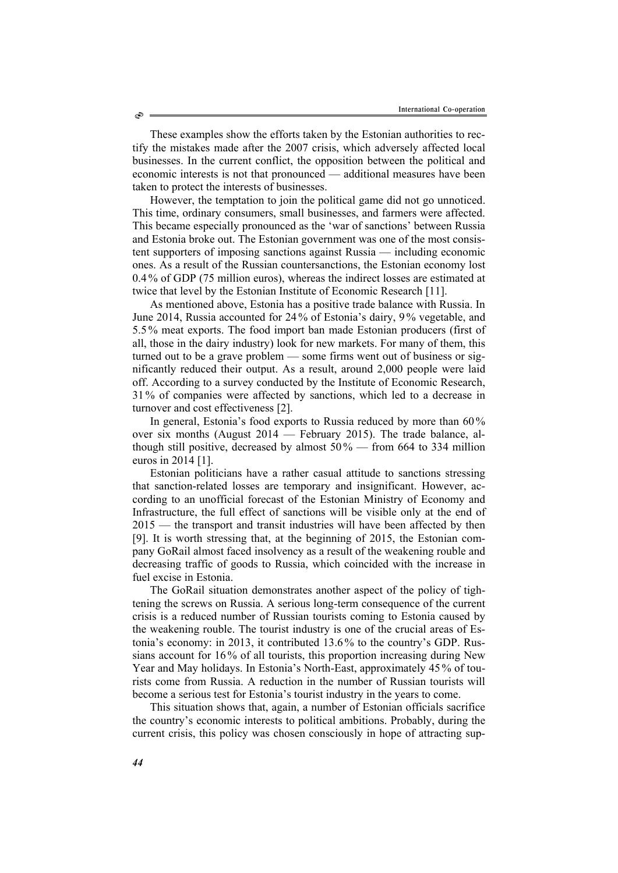These examples show the efforts taken by the Estonian authorities to rectify the mistakes made after the 2007 crisis, which adversely affected local businesses. In the current conflict, the opposition between the political and economic interests is not that pronounced — additional measures have been taken to protect the interests of businesses.

However, the temptation to join the political game did not go unnoticed. This time, ordinary consumers, small businesses, and farmers were affected. This became especially pronounced as the 'war of sanctions' between Russia and Estonia broke out. The Estonian government was one of the most consistent supporters of imposing sanctions against Russia — including economic ones. As a result of the Russian countersanctions, the Estonian economy lost 0.4 % of GDP (75 million euros), whereas the indirect losses are estimated at twice that level by the Estonian Institute of Economic Research [11].

As mentioned above, Estonia has a positive trade balance with Russia. In June 2014, Russia accounted for 24 % of Estonia's dairy, 9 % vegetable, and 5.5 % meat exports. The food import ban made Estonian producers (first of all, those in the dairy industry) look for new markets. For many of them, this turned out to be a grave problem — some firms went out of business or significantly reduced their output. As a result, around 2,000 people were laid off. According to a survey conducted by the Institute of Economic Research, 31 % of companies were affected by sanctions, which led to a decrease in turnover and cost effectiveness [2].

In general, Estonia's food exports to Russia reduced by more than 60 % over six months (August 2014 — February 2015). The trade balance, although still positive, decreased by almost  $50\%$  — from 664 to 334 million euros in 2014 [1].

Estonian politicians have a rather casual attitude to sanctions stressing that sanction-related losses are temporary and insignificant. However, according to an unofficial forecast of the Estonian Ministry of Economy and Infrastructure, the full effect of sanctions will be visible only at the end of 2015 — the transport and transit industries will have been affected by then [9]. It is worth stressing that, at the beginning of 2015, the Estonian company GoRail almost faced insolvency as a result of the weakening rouble and decreasing traffic of goods to Russia, which coincided with the increase in fuel excise in Estonia.

The GoRail situation demonstrates another aspect of the policy of tightening the screws on Russia. A serious long-term consequence of the current crisis is a reduced number of Russian tourists coming to Estonia caused by the weakening rouble. The tourist industry is one of the crucial areas of Estonia's economy: in 2013, it contributed 13.6 % to the country's GDP. Russians account for 16 % of all tourists, this proportion increasing during New Year and May holidays. In Estonia's North-East, approximately 45% of tourists come from Russia. A reduction in the number of Russian tourists will become a serious test for Estonia's tourist industry in the years to come.

This situation shows that, again, a number of Estonian officials sacrifice the country's economic interests to political ambitions. Probably, during the current crisis, this policy was chosen consciously in hope of attracting sup-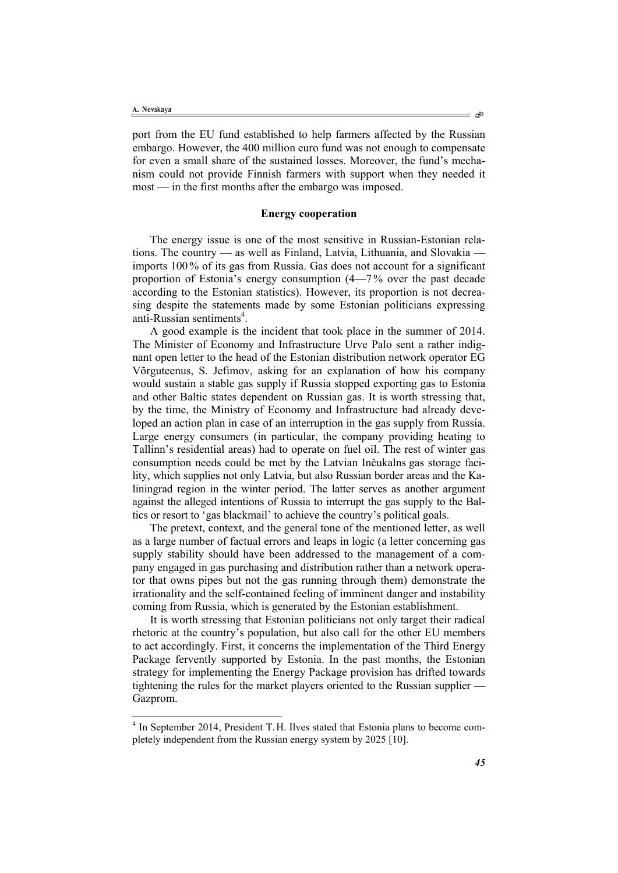l

port from the EU fund established to help farmers affected by the Russian embargo. However, the 400 million euro fund was not enough to compensate for even a small share of the sustained losses. Moreover, the fund's mechanism could not provide Finnish farmers with support when they needed it most — in the first months after the embargo was imposed.

## **Energy cooperation**

The energy issue is one of the most sensitive in Russian-Estonian relations. The country — as well as Finland, Latvia, Lithuania, and Slovakia imports 100% of its gas from Russia. Gas does not account for a significant proportion of Estonia's energy consumption (4—7% over the past decade according to the Estonian statistics). However, its proportion is not decreasing despite the statements made by some Estonian politicians expressing anti-Russian sentiments<sup>4</sup>.

A good example is the incident that took place in the summer of 2014. The Minister of Economy and Infrastructure Urve Palo sent a rather indignant open letter to the head of the Estonian distribution network operator EG Võrguteenus, S. Jefimov, asking for an explanation of how his company would sustain a stable gas supply if Russia stopped exporting gas to Estonia and other Baltic states dependent on Russian gas. It is worth stressing that, by the time, the Ministry of Economy and Infrastructure had already developed an action plan in case of an interruption in the gas supply from Russia. Large energy consumers (in particular, the company providing heating to Tallinn's residential areas) had to operate on fuel oil. The rest of winter gas consumption needs could be met by the Latvian Inčukalns gas storage facility, which supplies not only Latvia, but also Russian border areas and the Kaliningrad region in the winter period. The latter serves as another argument against the alleged intentions of Russia to interrupt the gas supply to the Baltics or resort to 'gas blackmail' to achieve the country's political goals.

The pretext, context, and the general tone of the mentioned letter, as well as a large number of factual errors and leaps in logic (a letter concerning gas supply stability should have been addressed to the management of a company engaged in gas purchasing and distribution rather than a network operator that owns pipes but not the gas running through them) demonstrate the irrationality and the self-contained feeling of imminent danger and instability coming from Russia, which is generated by the Estonian establishment.

It is worth stressing that Estonian politicians not only target their radical rhetoric at the country's population, but also call for the other EU members to act accordingly. First, it concerns the implementation of the Third Energy Package fervently supported by Estonia. In the past months, the Estonian strategy for implementing the Energy Package provision has drifted towards tightening the rules for the market players oriented to the Russian supplier — Gazprom.

ో

<sup>&</sup>lt;sup>4</sup> In September 2014, President T.H. Ilves stated that Estonia plans to become completely independent from the Russian energy system by 2025 [10].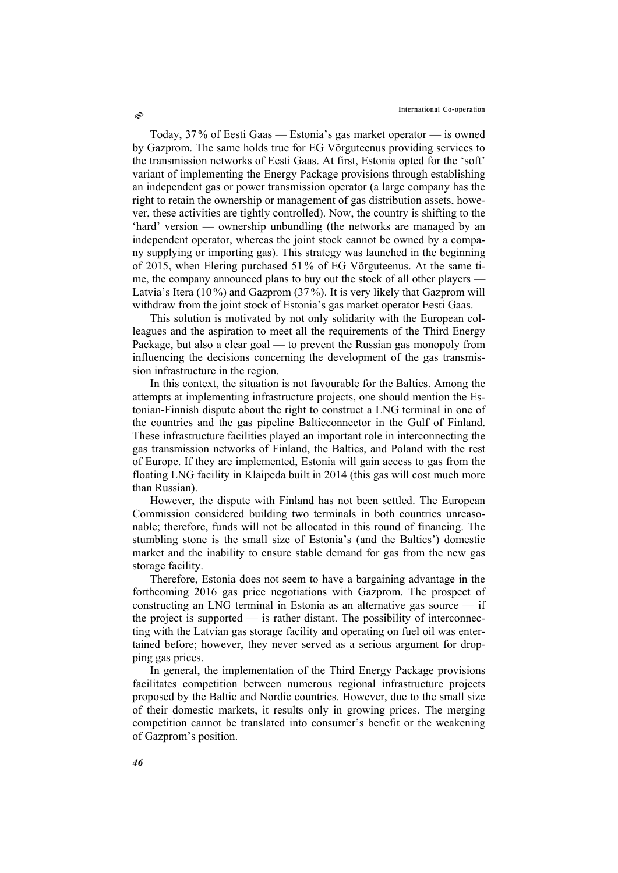Today, 37% of Eesti Gaas — Estonia's gas market operator — is owned by Gazprom. The same holds true for EG Võrguteenus providing services to the transmission networks of Eesti Gaas. At first, Estonia opted for the 'soft' variant of implementing the Energy Package provisions through establishing an independent gas or power transmission operator (a large company has the right to retain the ownership or management of gas distribution assets, however, these activities are tightly controlled). Now, the country is shifting to the 'hard' version — ownership unbundling (the networks are managed by an independent operator, whereas the joint stock cannot be owned by a company supplying or importing gas). This strategy was launched in the beginning of 2015, when Elering purchased 51% of EG Võrguteenus. At the same time, the company announced plans to buy out the stock of all other players – Latvia's Itera (10%) and Gazprom (37%). It is very likely that Gazprom will withdraw from the joint stock of Estonia's gas market operator Eesti Gaas.

This solution is motivated by not only solidarity with the European colleagues and the aspiration to meet all the requirements of the Third Energy Package, but also a clear goal — to prevent the Russian gas monopoly from influencing the decisions concerning the development of the gas transmission infrastructure in the region.

In this context, the situation is not favourable for the Baltics. Among the attempts at implementing infrastructure projects, one should mention the Estonian-Finnish dispute about the right to construct a LNG terminal in one of the countries and the gas pipeline Balticconnector in the Gulf of Finland. These infrastructure facilities played an important role in interconnecting the gas transmission networks of Finland, the Baltics, and Poland with the rest of Europe. If they are implemented, Estonia will gain access to gas from the floating LNG facility in Klaipeda built in 2014 (this gas will cost much more than Russian).

However, the dispute with Finland has not been settled. The European Commission considered building two terminals in both countries unreasonable; therefore, funds will not be allocated in this round of financing. The stumbling stone is the small size of Estonia's (and the Baltics') domestic market and the inability to ensure stable demand for gas from the new gas storage facility.

Therefore, Estonia does not seem to have a bargaining advantage in the forthcoming 2016 gas price negotiations with Gazprom. The prospect of constructing an LNG terminal in Estonia as an alternative gas source — if the project is supported — is rather distant. The possibility of interconnecting with the Latvian gas storage facility and operating on fuel oil was entertained before; however, they never served as a serious argument for dropping gas prices.

In general, the implementation of the Third Energy Package provisions facilitates competition between numerous regional infrastructure projects proposed by the Baltic and Nordic countries. However, due to the small size of their domestic markets, it results only in growing prices. The merging competition cannot be translated into consumer's benefit or the weakening of Gazprom's position.

ھ،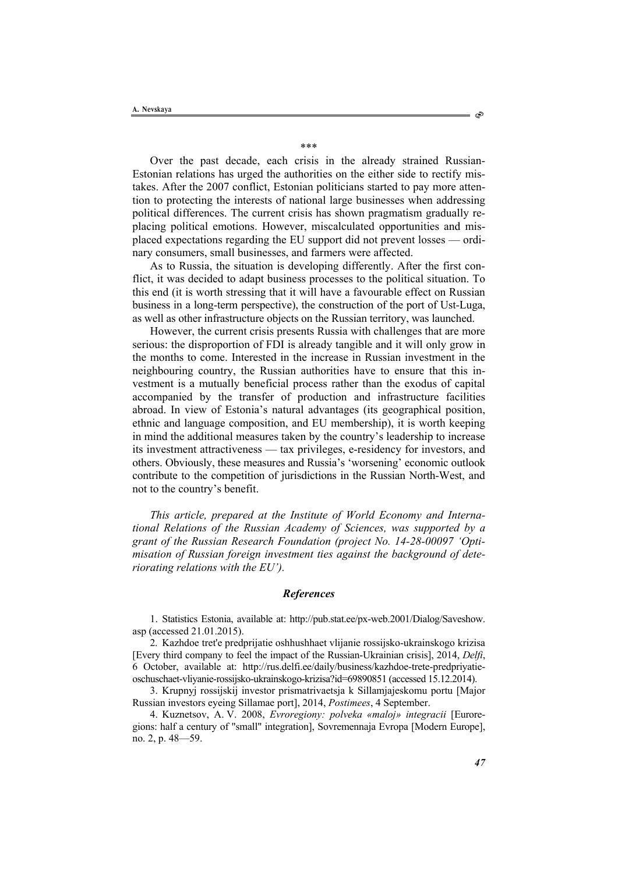\*\*\*

Over the past decade, each crisis in the already strained Russian-Estonian relations has urged the authorities on the either side to rectify mistakes. After the 2007 conflict, Estonian politicians started to pay more attention to protecting the interests of national large businesses when addressing political differences. The current crisis has shown pragmatism gradually replacing political emotions. However, miscalculated opportunities and misplaced expectations regarding the EU support did not prevent losses — ordinary consumers, small businesses, and farmers were affected.

As to Russia, the situation is developing differently. After the first conflict, it was decided to adapt business processes to the political situation. To this end (it is worth stressing that it will have a favourable effect on Russian business in a long-term perspective), the construction of the port of Ust-Luga, as well as other infrastructure objects on the Russian territory, was launched.

However, the current crisis presents Russia with challenges that are more serious: the disproportion of FDI is already tangible and it will only grow in the months to come. Interested in the increase in Russian investment in the neighbouring country, the Russian authorities have to ensure that this investment is a mutually beneficial process rather than the exodus of capital accompanied by the transfer of production and infrastructure facilities abroad. In view of Estonia's natural advantages (its geographical position, ethnic and language composition, and EU membership), it is worth keeping in mind the additional measures taken by the country's leadership to increase its investment attractiveness — tax privileges, e-residency for investors, and others. Obviously, these measures and Russia's 'worsening' economic outlook contribute to the competition of jurisdictions in the Russian North-West, and not to the country's benefit.

*This article, prepared at the Institute of World Economy and International Relations of the Russian Academy of Sciences, was supported by a grant of the Russian Research Foundation (project No. 14-28-00097 'Optimisation of Russian foreign investment ties against the background of deteriorating relations with the EU').* 

### *References*

1. Statistics Estonia, available at: http://pub.stat.ee/px-web.2001/Dialog/Saveshow. asp (accessed 21.01.2015).

2. Kazhdoe tret'e predprijatie oshhushhaet vlijanie rossijsko-ukrainskogo krizisa [Every third company to feel the impact of the Russian-Ukrainian crisis], 2014, *Delfi*, 6 October, available at: http://rus.delfi.ee/daily/business/kazhdoe-trete-predpriyatieoschuschaet-vliyanie-rossijsko-ukrainskogo-krizisa?id=69890851 (accessed 15.12.2014).

3. Krupnyj rossijskij investor prismatrivaetsja k Sillamjajeskomu portu [Major Russian investors eyeing Sillamae port], 2014, *Postimees*, 4 September.

4. Kuznetsov, A. V. 2008, *Evroregiony: polveka «maloj» integracii* [Euroregions: half a century of "small" integration], Sovremennaja Evropa [Modern Europe], no. 2, p. 48—59.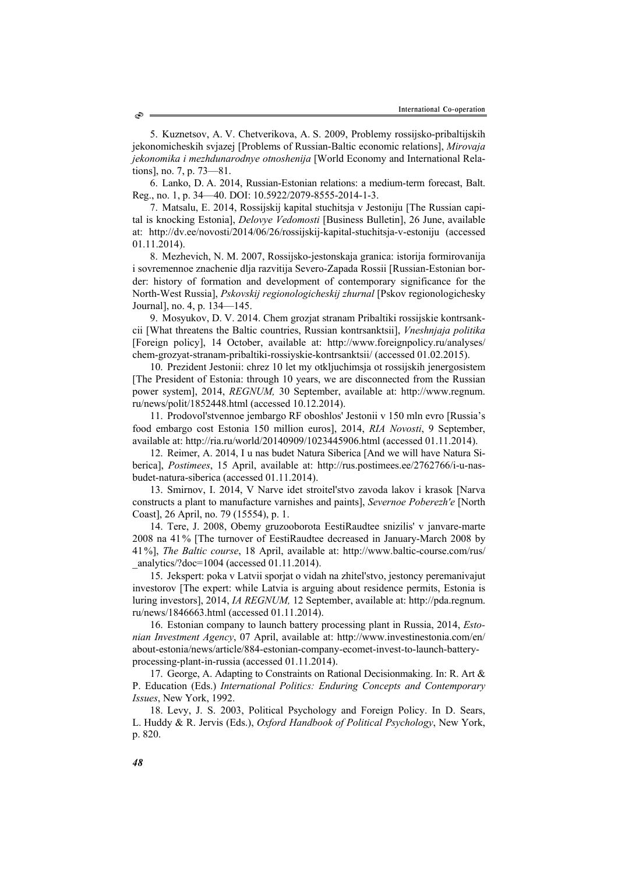5. Kuznetsov, A. V. Chetverikova, A. S. 2009, Problemy rossijsko-pribaltijskih jekonomicheskih svjazej [Problems of Russian-Baltic economic relations], *Mirovaja jekonomika i mezhdunarodnye otnoshenija* [World Economy and International Relations], no. 7, p. 73—81.

6. Lanko, D. A. 2014, Russian-Estonian relations: a medium-term forecast, Balt. Reg., no. 1, p. 34—40. DOI: 10.5922/2079-8555-2014-1-3.

7. Matsalu, E. 2014, Rossijskij kapital stuchitsja v Jestoniju [The Russian capital is knocking Estonia], *Delovye Vedomosti* [Business Bulletin], 26 June, available at: http://dv.ee/novosti/2014/06/26/rossijskij-kapital-stuchitsja-v-estoniju (accessed 01.11.2014).

8. Mezhevich, N. М. 2007, Rossijsko-jestonskaja granica: istorija formirovanija i sovremennoe znachenie dlja razvitija Severo-Zapada Rossii [Russian-Estonian border: history of formation and development of contemporary significance for the North-West Russia], *Pskovskij regionologicheskij zhurnal* [Pskov regionologichesky Journal], no. 4, p. 134—145.

9. Mosyukov, D. V. 2014. Chem grozjat stranam Pribaltiki rossijskie kontrsankcii [What threatens the Baltic countries, Russian kontrsanktsii], *Vneshnjaja politika*  [Foreign policy], 14 October, available at: http://www.foreignpolicy.ru/analyses/ chem-grozyat-stranam-pribaltiki-rossiyskie-kontrsanktsii/ (accessed 01.02.2015).

10. Prezident Jestonii: chrez 10 let my otkljuchimsja ot rossijskih jenergosistem [The President of Estonia: through 10 years, we are disconnected from the Russian power system], 2014, *REGNUM,* 30 September, available at: http://www.regnum. ru/news/polit/1852448.html (accessed 10.12.2014).

11. Prodovol'stvennoe jembargo RF oboshlos' Jestonii v 150 mln evro [Russia's food embargo cost Estonia 150 million euros], 2014, *RIA Novosti*, 9 September, available at: http://ria.ru/world/20140909/1023445906.html (accessed 01.11.2014).

12. Reimer, А. 2014, I u nas budet Natura Siberica [And we will have Natura Siberica], *Postimees*, 15 April, available at: http://rus.postimees.ee/2762766/i-u-nasbudet-natura-siberica (accessed 01.11.2014).

13. Smirnov, I. 2014, V Narve idet stroitel'stvo zavoda lakov i krasok [Narva constructs a plant to manufacture varnishes and paints], *Severnoe Poberezh'e* [North Coast], 26 April, no. 79 (15554), p. 1.

14. Tere, J. 2008, Obemy gruzooborota EestiRaudtee snizilis' v janvare-marte 2008 na 41% [The turnover of EestiRaudtee decreased in January-March 2008 by 41%], *The Baltic course*, 18 April, available at: http://www.baltic-course.com/rus/ \_analytics/?doc=1004 (accessed 01.11.2014).

15. Jekspert: poka v Latvii sporjat o vidah na zhitel'stvo, jestoncy peremanivajut investorov [The expert: while Latvia is arguing about residence permits, Estonia is luring investors], 2014, *IA REGNUM,* 12 September, available at: http://pda.regnum. ru/news/1846663.html (accessed 01.11.2014).

16. Estonian company to launch battery processing plant in Russia, 2014, *Estonian Investment Agency*, 07 April, available at: http://www.investinestonia.com/en/ about-estonia/news/article/884-estonian-company-ecomet-invest-to-launch-batteryprocessing-plant-in-russia (accessed 01.11.2014).

17. George, A. Adapting to Constraints on Rational Decisionmaking. In: R. Art & P. Education (Eds.) *International Politics: Enduring Concepts and Contemporary Issues*, New York, 1992.

18. Levy, J. S. 2003, Political Psychology and Foreign Policy. In D. Sears, L. Huddy & R. Jervis (Eds.), *Oxford Handbook of Political Psychology*, New York, p. 820.